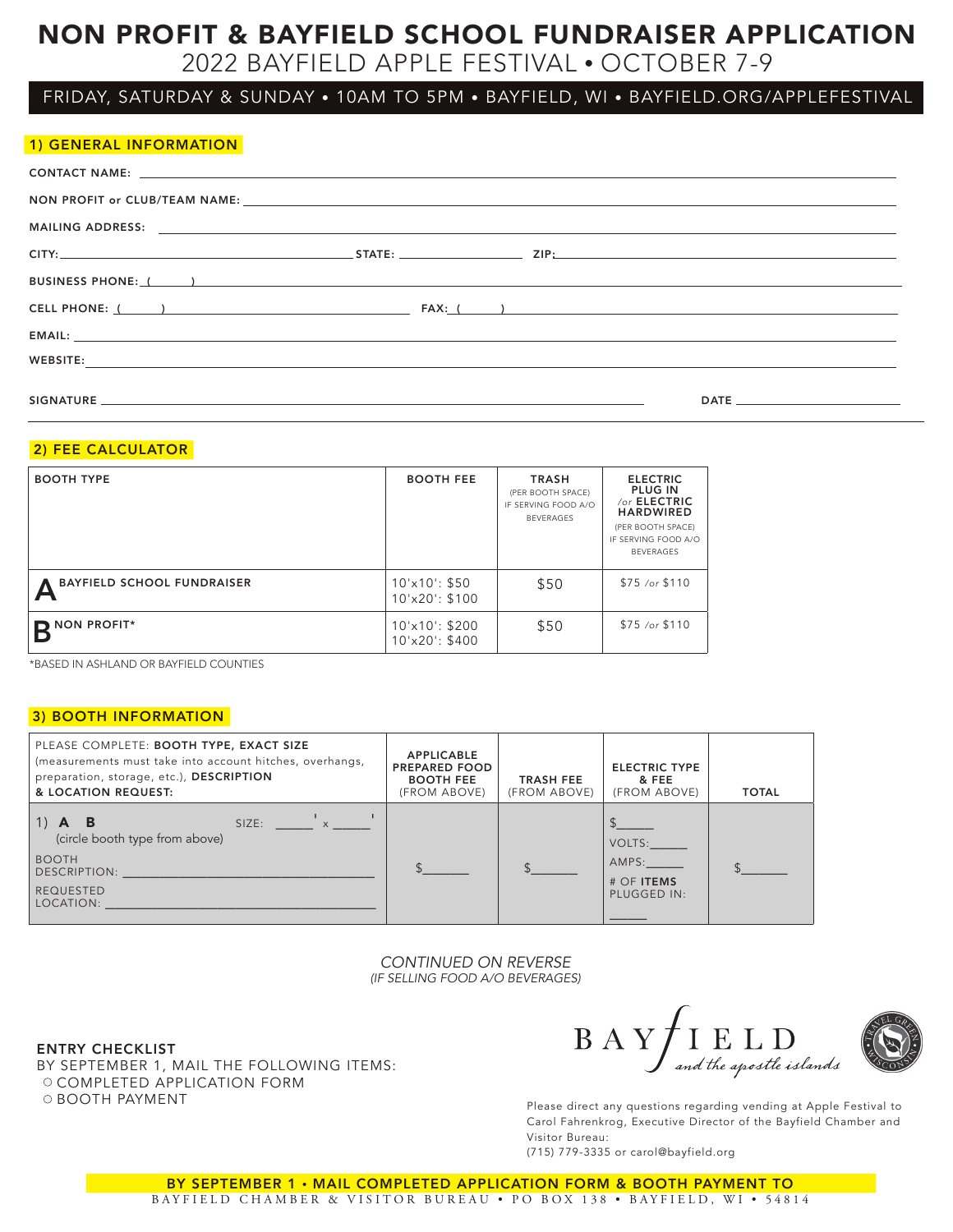# NON PROFIT & BAYFIELD SCHOOL FUNDRAISER APPLICATION

2022 BAYFIELD APPLE FESTIVAL • OCTOBER 7-9

## FRIDAY, SATURDAY & SUNDAY • 10AM TO 5PM • BAYFIELD, WI • BAYFIELD.ORG/APPLEFESTIVAL

| 1) GENERAL INFORMATION                                                                                          |  |  |
|-----------------------------------------------------------------------------------------------------------------|--|--|
|                                                                                                                 |  |  |
|                                                                                                                 |  |  |
|                                                                                                                 |  |  |
|                                                                                                                 |  |  |
|                                                                                                                 |  |  |
| CELL PHONE: ( ) THE RESERVE TO THE RESERVE TO THE RESERVE TO THE RESERVE TO THE RESERVE TO THE RESERVE TO THE R |  |  |
|                                                                                                                 |  |  |
| WEBSITE:                                                                                                        |  |  |

SIGNATURE DATE

## 2) FEE CALCULATOR

| <b>BOOTH TYPE</b>                 | <b>BOOTH FEE</b>                                                    | <b>TRASH</b><br>(PER BOOTH SPACE)<br>IF SERVING FOOD A/O<br><b>BEVERAGES</b> | <b>ELECTRIC</b><br><b>PLUG IN</b><br>/or ELECTRIC<br><b>HARDWIRED</b><br>(PER BOOTH SPACE)<br>IF SERVING FOOD A/O<br><b>BEVERAGES</b> |
|-----------------------------------|---------------------------------------------------------------------|------------------------------------------------------------------------------|---------------------------------------------------------------------------------------------------------------------------------------|
| <b>BAYFIELD SCHOOL FUNDRAISER</b> | $10\text{′x}10\text{′: } $50$<br>$10^{\circ}x20$ : \$100            | \$50                                                                         | $$75$ /or $$110$                                                                                                                      |
| <b>NON PROFIT*</b>                | $10^{\prime} \times 10^{\prime}$ : \$200<br>$10^{\circ}x20$ : \$400 | \$50                                                                         | $$75$ /or $$110$                                                                                                                      |

\*BASED IN ASHLAND OR BAYFIELD COUNTIES

## 3) BOOTH INFORMATION

| PLEASE COMPLETE: BOOTH TYPE, EXACT SIZE<br>(measurements must take into account hitches, overhangs,<br>preparation, storage, etc.), DESCRIPTION<br>& LOCATION REQUEST: | <b>APPLICABLE</b><br><b>PREPARED FOOD</b><br><b>BOOTH FEE</b><br>(FROM ABOVE) | <b>TRASH FEE</b><br>(FROM ABOVE) | <b>ELECTRIC TYPE</b><br>& FEE<br>(FROM ABOVE)  | <b>TOTAL</b> |
|------------------------------------------------------------------------------------------------------------------------------------------------------------------------|-------------------------------------------------------------------------------|----------------------------------|------------------------------------------------|--------------|
| SIZE: $\frac{1}{x}$ x $\frac{1}{x}$<br>$\vert$ 1)<br>B<br>(circle booth type from above)<br><b>BOOTH</b><br>DESCRIPTION:<br><b>REQUESTED</b><br>LOCATION:              |                                                                               |                                  | VOLTS:<br>AMPS:<br>$#$ OF ITEMS<br>PLUGGED IN: |              |

*CONTINUED ON REVERSE (IF SELLING FOOD A/O BEVERAGES)*

### ENTRY CHECKLIST

BY SEPTEMBER 1, MAIL THE FOLLOWING ITEMS: O COMPLETED APPLICATION FORM O BOOTH PAYMENT **PAYMENT PLEASE ASSESS** Please direct any questions regarding vending at Apple Festival to

 $\rm{B~A~Y}\!\!\!\!\!\!\int \!\!\!\!\!\!\int_{\it{and the apostle} islands}$ 



Carol Fahrenkrog, Executive Director of the Bayfield Chamber and Visitor Bureau:

(715) 779-3335 or carol@bayfield.org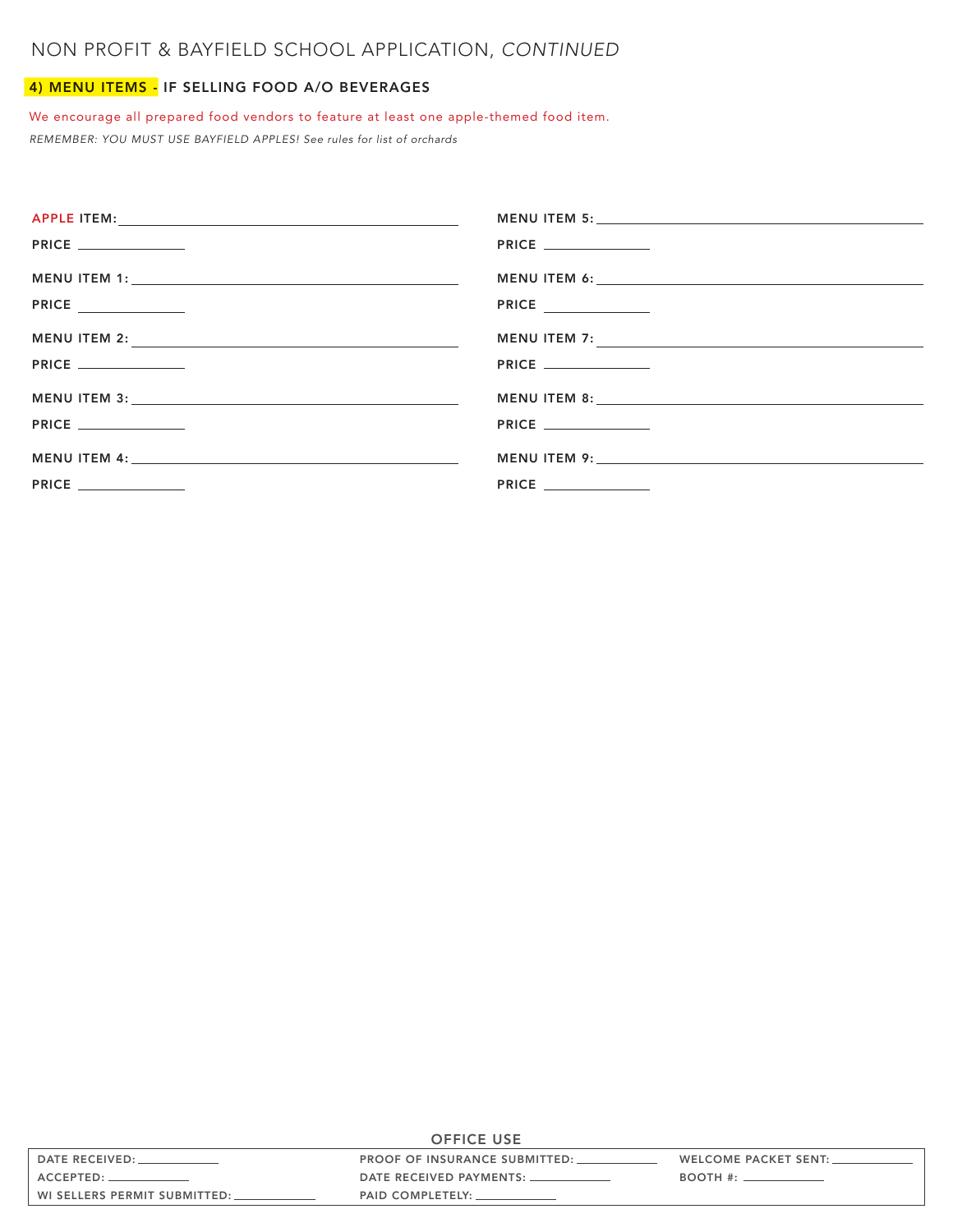## 4) MENU ITEMS - IF SELLING FOOD A/O BEVERAGES

## We encourage all prepared food vendors to feature at least one apple-themed food item.

*REMEMBER: YOU MUST USE BAYFIELD APPLES! See rules for list of orchards* 

|                             | PRICE                       |
|-----------------------------|-----------------------------|
|                             |                             |
| <b>PRICE</b> ______________ | PRICE ______________        |
|                             | MENU ITEM 7:                |
|                             | <b>PRICE</b> ______________ |
|                             |                             |
|                             | <b>PRICE</b>                |
|                             |                             |
| <b>PRICE</b>                | <b>PRICE</b>                |

| <b>OFFICE USE</b>            |                                      |                                                           |
|------------------------------|--------------------------------------|-----------------------------------------------------------|
| DATE RECEIVED:               | <b>PROOF OF INSURANCE SUBMITTED:</b> | WELCOME PACKET SENT: _                                    |
|                              |                                      | $BOOTH$ #: $\_\_\_\_\_\_\_\_\_\_\_\_\_\_\_\_\_\_\_\_\_\_$ |
| WI SELLERS PERMIT SUBMITTED: | PAID COMPLETELY:                     |                                                           |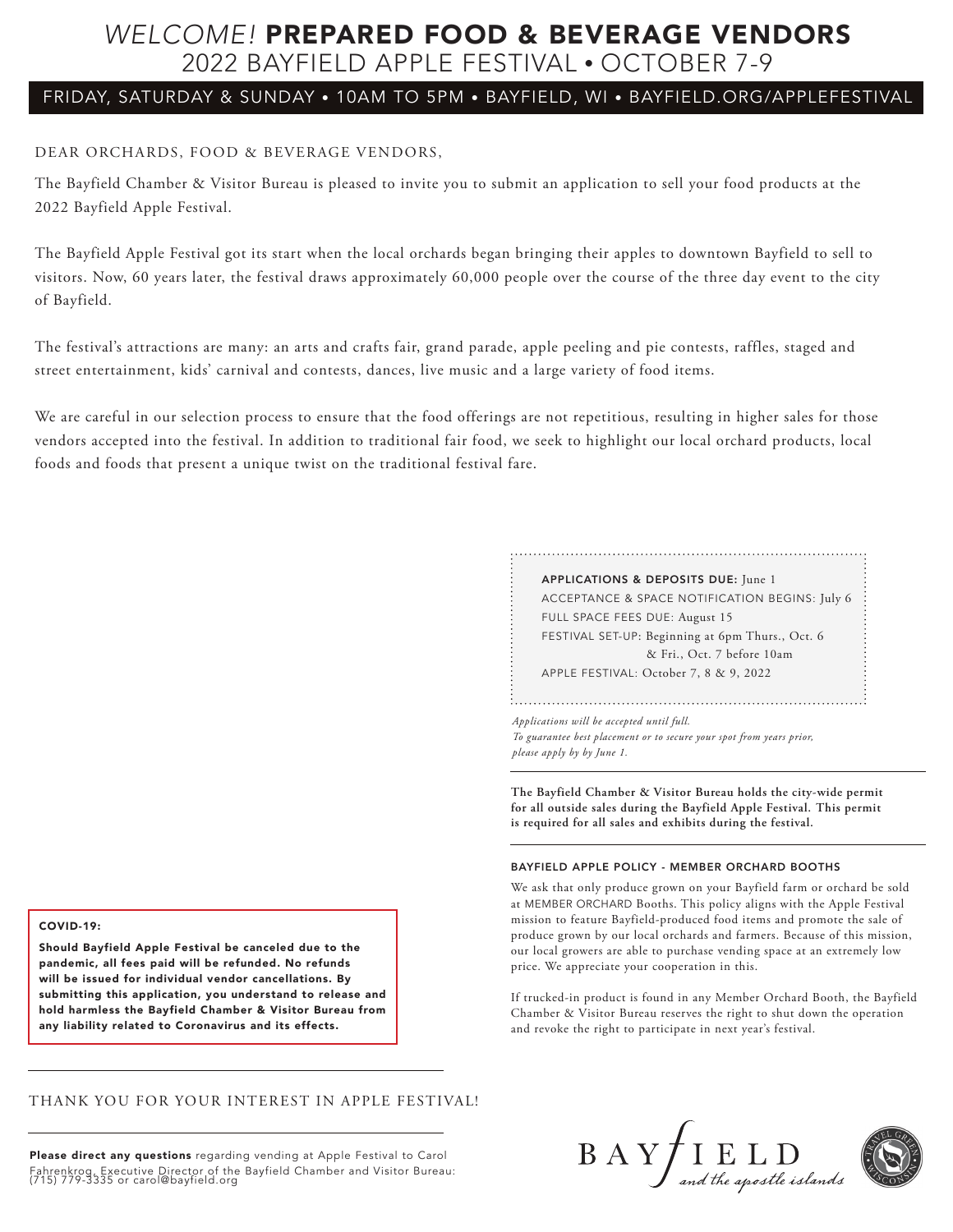## *WELCOME!* PREPARED FOOD & BEVERAGE VENDORS 2022 BAYFIELD APPLE FESTIVAL • OCTOBER 7-9

## FRIDAY, SATURDAY & SUNDAY • 10AM TO 5PM • BAYFIELD, WI • BAYFIELD.ORG/APPLEFESTIVAL

## DEAR ORCHARDS, FOOD & BEVERAGE VENDORS,

The Bayfield Chamber & Visitor Bureau is pleased to invite you to submit an application to sell your food products at the 2022 Bayfield Apple Festival.

The Bayfield Apple Festival got its start when the local orchards began bringing their apples to downtown Bayfield to sell to visitors. Now, 60 years later, the festival draws approximately 60,000 people over the course of the three day event to the city of Bayfield.

The festival's attractions are many: an arts and crafts fair, grand parade, apple peeling and pie contests, raffles, staged and street entertainment, kids' carnival and contests, dances, live music and a large variety of food items.

We are careful in our selection process to ensure that the food offerings are not repetitious, resulting in higher sales for those vendors accepted into the festival. In addition to traditional fair food, we seek to highlight our local orchard products, local foods and foods that present a unique twist on the traditional festival fare.

| APPLICATIONS & DEPOSITS DUE: June 1              |
|--------------------------------------------------|
| ACCEPTANCE & SPACE NOTIFICATION BEGINS: July 6   |
| FULL SPACE FEES DUE: August 15                   |
| FESTIVAL SET-UP: Beginning at 6pm Thurs., Oct. 6 |
| & Fri., Oct. 7 before 10am                       |

APPLE FESTIVAL: October 7, 8 & 9, 2022

*Applications will be accepted until full. To guarantee best placement or to secure your spot from years prior, please apply by by June 1.*

**The Bayfield Chamber & Visitor Bureau holds the city-wide permit for all outside sales during the Bayfield Apple Festival. This permit is required for all sales and exhibits during the festival.**

### BAYFIELD APPLE POLICY - MEMBER ORCHARD BOOTHS

We ask that only produce grown on your Bayfield farm or orchard be sold at MEMBER ORCHARD Booths. This policy aligns with the Apple Festival mission to feature Bayfield-produced food items and promote the sale of produce grown by our local orchards and farmers. Because of this mission, our local growers are able to purchase vending space at an extremely low price. We appreciate your cooperation in this.

If trucked-in product is found in any Member Orchard Booth, the Bayfield Chamber & Visitor Bureau reserves the right to shut down the operation and revoke the right to participate in next year's festival.

#### COVID-19:

Should Bayfield Apple Festival be canceled due to the pandemic, all fees paid will be refunded. No refunds will be issued for individual vendor cancellations. By submitting this application, you understand to release and hold harmless the Bayfield Chamber & Visitor Bureau from any liability related to Coronavirus and its effects.

## THANK YOU FOR YOUR INTEREST IN APPLE FESTIVAL!

Please direct any questions regarding vending at Apple Festival to Carol Fahrenkrog, Executive Director of the Bayfield Chamber and Visitor Bureau: (715) 779-3335 or carol@bayfield.org